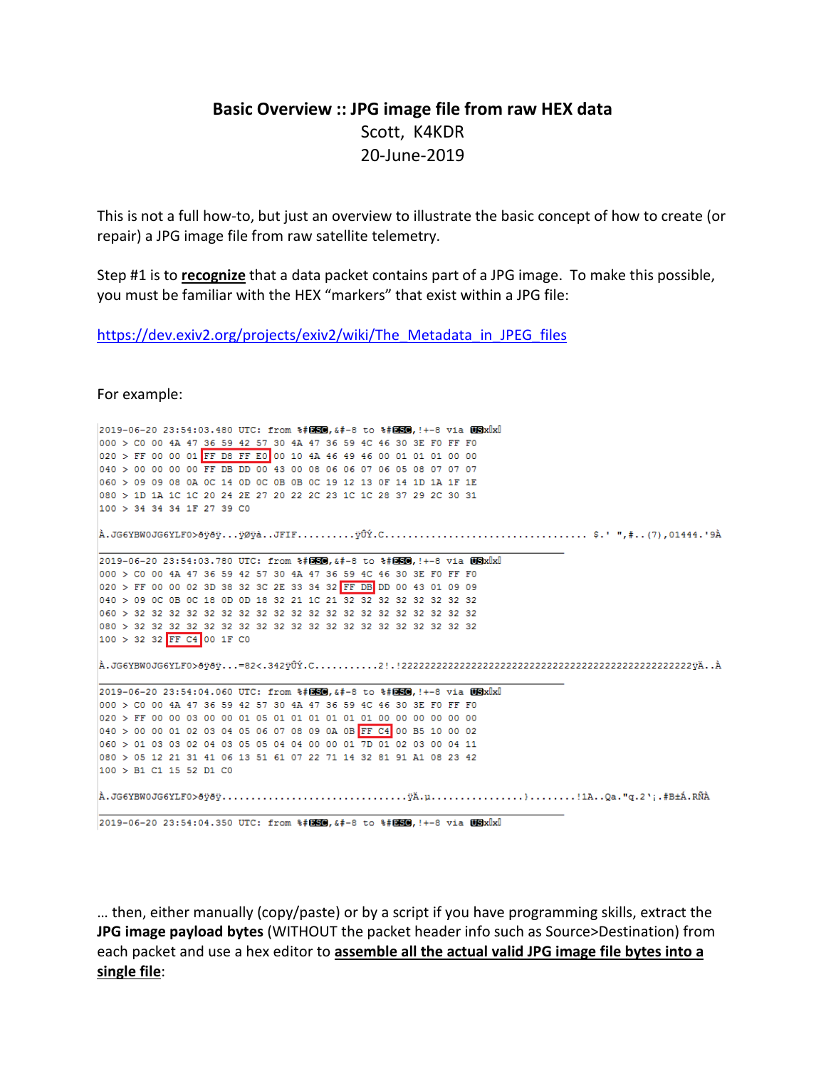## **Basic Overview :: JPG image file from raw HEX data**  Scott, K4KDR 20-June-2019

This is not a full how-to, but just an overview to illustrate the basic concept of how to create (or repair) a JPG image file from raw satellite telemetry.

Step #1 is to **recognize** that a data packet contains part of a JPG image. To make this possible, you must be familiar with the HEX "markers" that exist within a JPG file:

https://dev.exiv2.org/projects/exiv2/wiki/The\_Metadata\_in\_JPEG\_files

For example:

2019-06-20 23:54:03.480 UTC: from %#@SO, &#-8 to %#@SO, !+-8 via USx x Ix 000 > C0 00 4A 47 36 59 42 57 30 4A 47 36 59 4C 46 30 3E F0 FF F0 020 > FF 00 00 01 FF D8 FF E0 00 10 4A 46 49 46 00 01 01 01 00 00 040 > 00 00 00 00 FF DB DD 00 43 00 08 06 06 07 06 05 08 07 07 07 060 > 09 09 08 0A 0C 14 0D 0C 0B 0B 0C 19 12 13 0F 14 1D 1A 1F 1E 080 > 1D 1A 1C 1C 20 24 2E 27 20 22 2C 23 1C 1C 28 37 29 2C 30 31 100 > 34 34 34 1F 27 39 CO 2019-06-20 23:54:03.780 UTC: from %#图80.&#-8 to %#图80.!+-8 via USxUxU 000 > C0 00 4A 47 36 59 42 57 30 4A 47 36 59 4C 46 30 3E F0 FF F0 020 > FF 00 00 02 3D 38 32 3C 2E 33 34 32 FF DB DD 00 43 01 09 09 040 > 09 0C 0B 0C 18 0D 0D 18 32 21 1C 21 32 32 32 32 32 32 32 32 100 > 32 32 FF C4 00 1F C0 2019-06-20 23:54:04.060 UTC: from %#DEO, &#-8 to %#DEO, !+-8 via USxIxI 000 > C0 00 4A 47 36 59 42 57 30 4A 47 36 59 4C 46 30 3E F0 FF F0 020 > FF 00 00 03 00 00 01 05 01 01 01 01 01 01 00 00 00 00 00 00 040 > 00 00 01 02 03 04 05 06 07 08 09 0A 0B FF C4 00 B5 10 00 02  $060$  > 01 03 03 02 04 03 05 05 04 04 00 00 01 7D 01 02 03 00 04 11 080 > 05 12 21 31 41 06 13 51 61 07 22 71 14 32 81 91 A1 08 23 42 100 > B1 C1 15 52 D1 C0 

2019-06-20 23:54:04.350 UTC: from %#050, &#-8 to %#050, !+-8 via USxlxl

… then, either manually (copy/paste) or by a script if you have programming skills, extract the **JPG image payload bytes** (WITHOUT the packet header info such as Source>Destination) from each packet and use a hex editor to **assemble all the actual valid JPG image file bytes into a single file**: